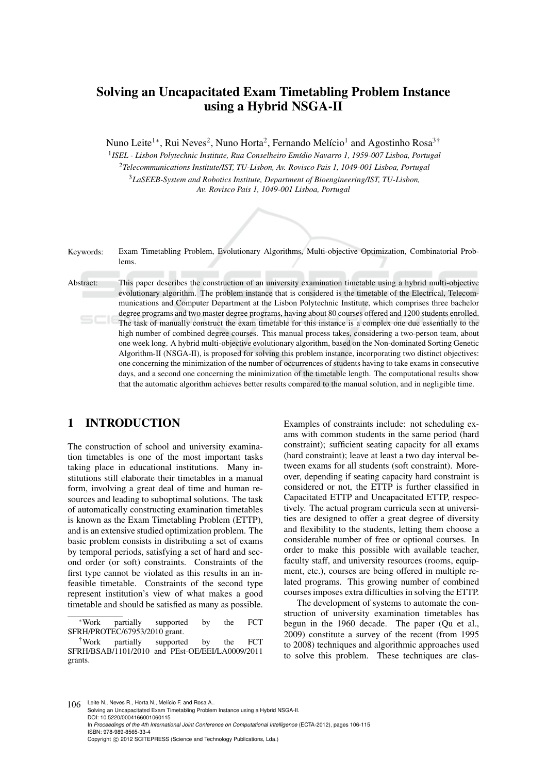# Solving an Uncapacitated Exam Timetabling Problem Instance using a Hybrid NSGA-II

Nuno Leite<sup>1∗</sup>, Rui Neves<sup>2</sup>, Nuno Horta<sup>2</sup>, Fernando Melício<sup>1</sup> and Agostinho Rosa<sup>3†</sup>

<sup>1</sup> ISEL - Lisbon Polytechnic Institute, Rua Conselheiro Emídio Navarro 1, 1959-007 Lisboa, Portugal <sup>2</sup>*Telecommunications Institute/IST, TU-Lisbon, Av. Rovisco Pais 1, 1049-001 Lisboa, Portugal* <sup>3</sup>*LaSEEB-System and Robotics Institute, Department of Bioengineering/IST, TU-Lisbon, Av. Rovisco Pais 1, 1049-001 Lisboa, Portugal*

Keywords: Exam Timetabling Problem, Evolutionary Algorithms, Multi-objective Optimization, Combinatorial Problems.

Abstract: This paper describes the construction of an university examination timetable using a hybrid multi-objective evolutionary algorithm. The problem instance that is considered is the timetable of the Electrical, Telecommunications and Computer Department at the Lisbon Polytechnic Institute, which comprises three bachelor degree programs and two master degree programs, having about 80 courses offered and 1200 students enrolled. The task of manually construct the exam timetable for this instance is a complex one due essentially to the high number of combined degree courses. This manual process takes, considering a two-person team, about one week long. A hybrid multi-objective evolutionary algorithm, based on the Non-dominated Sorting Genetic Algorithm-II (NSGA-II), is proposed for solving this problem instance, incorporating two distinct objectives: one concerning the minimization of the number of occurrences of students having to take exams in consecutive days, and a second one concerning the minimization of the timetable length. The computational results show that the automatic algorithm achieves better results compared to the manual solution, and in negligible time.

## 1 INTRODUCTION

The construction of school and university examination timetables is one of the most important tasks taking place in educational institutions. Many institutions still elaborate their timetables in a manual form, involving a great deal of time and human resources and leading to suboptimal solutions. The task of automatically constructing examination timetables is known as the Exam Timetabling Problem (ETTP), and is an extensive studied optimization problem. The basic problem consists in distributing a set of exams by temporal periods, satisfying a set of hard and second order (or soft) constraints. Constraints of the first type cannot be violated as this results in an infeasible timetable. Constraints of the second type represent institution's view of what makes a good timetable and should be satisfied as many as possible.

<sup>∗</sup>Work partially supported by the FCT SFRH/PROTEC/67953/2010 grant.

†Work partially supported by the FCT SFRH/BSAB/1101/2010 and PEst-OE/EEI/LA0009/2011 grants.

Examples of constraints include: not scheduling exams with common students in the same period (hard constraint); sufficient seating capacity for all exams (hard constraint); leave at least a two day interval between exams for all students (soft constraint). Moreover, depending if seating capacity hard constraint is considered or not, the ETTP is further classified in Capacitated ETTP and Uncapacitated ETTP, respectively. The actual program curricula seen at universities are designed to offer a great degree of diversity and flexibility to the students, letting them choose a considerable number of free or optional courses. In order to make this possible with available teacher, faculty staff, and university resources (rooms, equipment, etc.), courses are being offered in multiple related programs. This growing number of combined courses imposes extra difficulties in solving the ETTP.

The development of systems to automate the construction of university examination timetables has begun in the 1960 decade. The paper (Qu et al., 2009) constitute a survey of the recent (from 1995 to 2008) techniques and algorithmic approaches used to solve this problem. These techniques are clas-

106 Leite N., Neves R., Horta N., Melício F. and Rosa A. Solving an Uncapacitated Exam Timetabling Problem Instance using a Hybrid NSGA-II. DOI: 10.5220/0004166001060115 In *Proceedings of the 4th International Joint Conference on Computational Intelligence* (ECTA-2012), pages 106-115 ISBN: 978-989-8565-33-4 Copyright (C) 2012 SCITEPRESS (Science and Technology Publications, Lda.)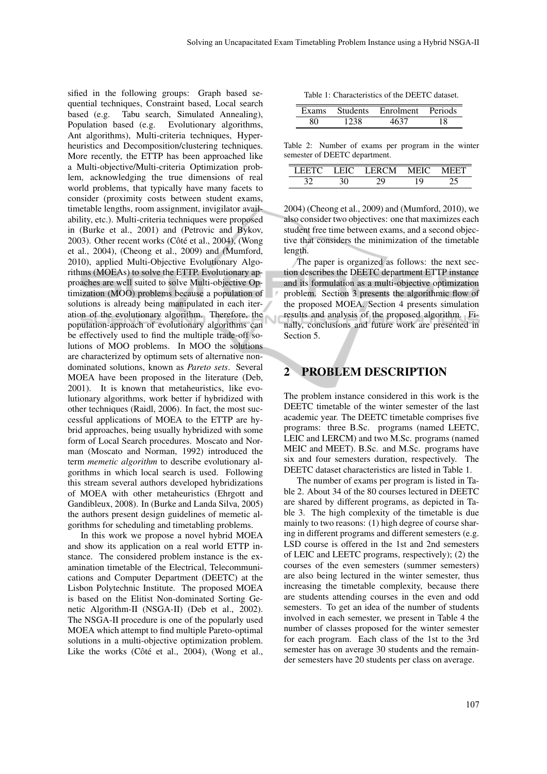sified in the following groups: Graph based sequential techniques, Constraint based, Local search based (e.g. Tabu search, Simulated Annealing), Population based (e.g. Evolutionary algorithms, Ant algorithms), Multi-criteria techniques, Hyperheuristics and Decomposition/clustering techniques. More recently, the ETTP has been approached like a Multi-objective/Multi-criteria Optimization problem, acknowledging the true dimensions of real world problems, that typically have many facets to consider (proximity costs between student exams, timetable lengths, room assignment, invigilator availability, etc.). Multi-criteria techniques were proposed in (Burke et al., 2001) and (Petrovic and Bykov, 2003). Other recent works (Côté et al., 2004), (Wong et al., 2004), (Cheong et al., 2009) and (Mumford, 2010), applied Multi-Objective Evolutionary Algorithms (MOEAs) to solve the ETTP. Evolutionary approaches are well suited to solve Multi-objective Optimization (MOO) problems because a population of solutions is already being manipulated in each iteration of the evolutionary algorithm. Therefore, the population-approach of evolutionary algorithms can be effectively used to find the multiple trade-off solutions of MOO problems. In MOO the solutions are characterized by optimum sets of alternative nondominated solutions, known as *Pareto sets*. Several MOEA have been proposed in the literature (Deb, 2001). It is known that metaheuristics, like evolutionary algorithms, work better if hybridized with other techniques (Raidl, 2006). In fact, the most successful applications of MOEA to the ETTP are hybrid approaches, being usually hybridized with some form of Local Search procedures. Moscato and Norman (Moscato and Norman, 1992) introduced the term *memetic algorithm* to describe evolutionary algorithms in which local search is used. Following this stream several authors developed hybridizations of MOEA with other metaheuristics (Ehrgott and Gandibleux, 2008). In (Burke and Landa Silva, 2005) the authors present design guidelines of memetic algorithms for scheduling and timetabling problems.

In this work we propose a novel hybrid MOEA and show its application on a real world ETTP instance. The considered problem instance is the examination timetable of the Electrical, Telecommunications and Computer Department (DEETC) at the Lisbon Polytechnic Institute. The proposed MOEA is based on the Elitist Non-dominated Sorting Genetic Algorithm-II (NSGA-II) (Deb et al., 2002). The NSGA-II procedure is one of the popularly used MOEA which attempt to find multiple Pareto-optimal solutions in a multi-objective optimization problem. Like the works (Côté et al., 2004), (Wong et al.,

|      | Exams Students Enrolment Periods |    |
|------|----------------------------------|----|
| 1738 |                                  | 18 |

Table 2: Number of exams per program in the winter semester of DEETC department.

| . <i>.</i> | 1 EIC = | LERCM. | MEIO |  |
|------------|---------|--------|------|--|
|            |         |        |      |  |

2004) (Cheong et al., 2009) and (Mumford, 2010), we also consider two objectives: one that maximizes each student free time between exams, and a second objective that considers the minimization of the timetable length.

The paper is organized as follows: the next section describes the DEETC department ETTP instance and its formulation as a multi-objective optimization problem. Section 3 presents the algorithmic flow of the proposed MOEA. Section 4 presents simulation results and analysis of the proposed algorithm. Finally, conclusions and future work are presented in Section 5.

## 2 PROBLEM DESCRIPTION

Ń

The problem instance considered in this work is the DEETC timetable of the winter semester of the last academic year. The DEETC timetable comprises five programs: three B.Sc. programs (named LEETC, LEIC and LERCM) and two M.Sc. programs (named MEIC and MEET). B.Sc. and M.Sc. programs have six and four semesters duration, respectively. The DEETC dataset characteristics are listed in Table 1.

The number of exams per program is listed in Table 2. About 34 of the 80 courses lectured in DEETC are shared by different programs, as depicted in Table 3. The high complexity of the timetable is due mainly to two reasons: (1) high degree of course sharing in different programs and different semesters (e.g. LSD course is offered in the 1st and 2nd semesters of LEIC and LEETC programs, respectively); (2) the courses of the even semesters (summer semesters) are also being lectured in the winter semester, thus increasing the timetable complexity, because there are students attending courses in the even and odd semesters. To get an idea of the number of students involved in each semester, we present in Table 4 the number of classes proposed for the winter semester for each program. Each class of the 1st to the 3rd semester has on average 30 students and the remainder semesters have 20 students per class on average.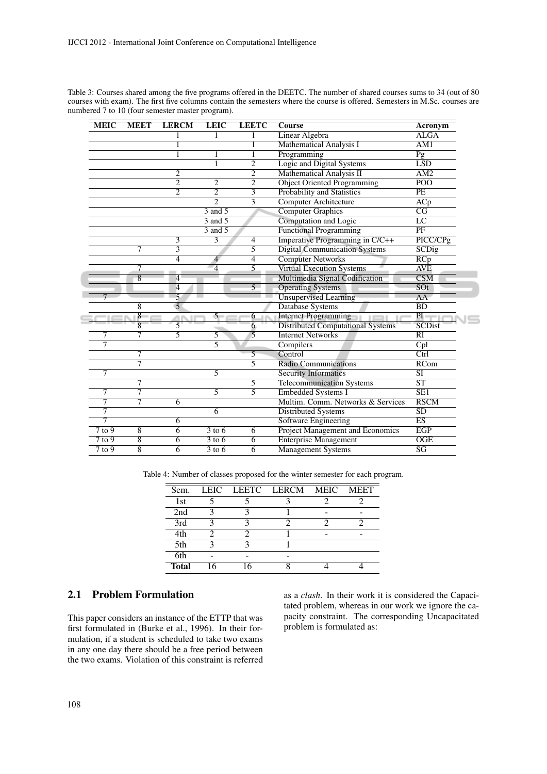| <b>MEIC</b> | <b>MEET</b>    | <b>LERCM</b>   | <b>LEIC</b>                       | <b>LEETC</b>   | <b>Course</b>                            | Acronym                 |
|-------------|----------------|----------------|-----------------------------------|----------------|------------------------------------------|-------------------------|
|             |                | 1              | 1                                 | 1              | <b>Linear Algebra</b>                    | <b>ALGA</b>             |
|             |                | 1              |                                   | 1              | Mathematical Analysis I                  | AM1                     |
|             |                | 1              |                                   | 1              | Programming                              | $\overline{Pg}$         |
|             |                |                | 1                                 | $\overline{2}$ | Logic and Digital Systems                | <b>LSD</b>              |
|             |                | 2              |                                   | $\overline{2}$ | Mathematical Analysis II                 | AM2                     |
|             |                | $\overline{2}$ | $\overline{2}$                    | $\overline{2}$ | <b>Object Oriented Programming</b>       | $\overline{POO}$        |
|             |                | $\overline{2}$ | $\overline{2}$                    | 3              | Probability and Statistics               | PE                      |
|             |                |                | $\overline{2}$                    | 3              | <b>Computer Architecture</b>             | ACp                     |
|             |                |                | $\overline{3}$ and $\overline{5}$ |                | <b>Computer Graphics</b>                 | $\overline{CG}$         |
|             |                |                | $3$ and $5$                       |                | Computation and Logic                    | $\overline{LC}$         |
|             |                |                | $3$ and $5$                       |                | <b>Functional Programming</b>            | PF                      |
|             |                | 3              | 3                                 | 4              | Imperative Programming in C/C++          | PICC/CPg                |
|             | 7              | 3              |                                   | 5              | <b>Digital Communication Systems</b>     | <b>SCDig</b>            |
|             |                | $\overline{4}$ | $\overline{4}$                    | $\overline{4}$ | <b>Computer Networks</b>                 | RCp                     |
|             |                |                | $\overline{4}$                    | 5              | <b>Virtual Execution Systems</b>         | <b>AVE</b>              |
|             | $\overline{8}$ | 4              |                                   |                | Multimedia Signal Codification           | $\overline{\text{CSM}}$ |
|             |                | $\overline{4}$ |                                   | $\overline{5}$ | <b>Operating Systems</b>                 | $\overline{SOT}$        |
|             |                | 5              |                                   |                | <b>Unsupervised Learning</b>             | AA                      |
|             | 8              | 5              |                                   |                | Database Systems                         | BD                      |
|             | $\overline{8}$ |                | $5 -$                             | 6              | <b>Internet Programming</b>              | PI                      |
|             | 8              | 5              |                                   | 6              | <b>Distributed Computational Systems</b> | <b>SCDist</b>           |
|             | 7              | 5              | 5                                 | $\overline{5}$ | <b>Internet Networks</b>                 | RI                      |
| 7           |                |                | $\overline{5}$                    |                | Compilers                                | Cpl                     |
|             | 7              |                |                                   | 5              | Control                                  | Ctrl                    |
|             | 7              |                |                                   | 5              | <b>Radio Communications</b>              | <b>RCom</b>             |
| 7           |                |                | $\overline{5}$                    |                | <b>Security Informatics</b>              | $\overline{\rm SI}$     |
|             | 7              |                |                                   | 5              | <b>Telecommunication Systems</b>         | $\overline{\text{ST}}$  |
| 7           | 7              |                | 5                                 | $\overline{5}$ | <b>Embedded Systems I</b>                | $\overline{\text{SE1}}$ |
| 7           | 7              | 6              |                                   |                | Multim. Comm. Networks & Services        | <b>RSCM</b>             |
| 7           |                |                | 6                                 |                | <b>Distributed Systems</b>               | <b>SD</b>               |
| 7           |                | 6              |                                   |                | <b>Software Engineering</b>              | $\overline{ES}$         |
| $7$ to $9$  | $\overline{8}$ | $\overline{6}$ | $3$ to 6                          | $\overline{6}$ | <b>Project Management and Economics</b>  | <b>EGP</b>              |
| $7$ to $9$  | 8              | 6              | $3$ to 6                          | 6              | <b>Enterprise Management</b>             | <b>OGE</b>              |
| $7$ to 9    | $\overline{8}$ | 6              | $3$ to 6                          | 6              | <b>Management Systems</b>                | $\overline{\text{SG}}$  |
|             |                |                |                                   |                |                                          |                         |

Table 3: Courses shared among the five programs offered in the DEETC. The number of shared courses sums to 34 (out of 80 courses with exam). The first five columns contain the semesters where the course is offered. Semesters in M.Sc. courses are numbered 7 to 10 (four semester master program).

Table 4: Number of classes proposed for the winter semester for each program.

| Sem.         |  | LEIC LEETC LERCM MEIC | <b>MEET</b> |
|--------------|--|-----------------------|-------------|
| 1st          |  |                       |             |
| 2nd          |  |                       |             |
| 3rd          |  |                       |             |
| 4th          |  |                       |             |
| 5th          |  |                       |             |
| 6th          |  |                       |             |
| <b>Total</b> |  |                       |             |

## 2.1 Problem Formulation

This paper considers an instance of the ETTP that was first formulated in (Burke et al., 1996). In their formulation, if a student is scheduled to take two exams in any one day there should be a free period between the two exams. Violation of this constraint is referred as a *clash*. In their work it is considered the Capacitated problem, whereas in our work we ignore the capacity constraint. The corresponding Uncapacitated problem is formulated as: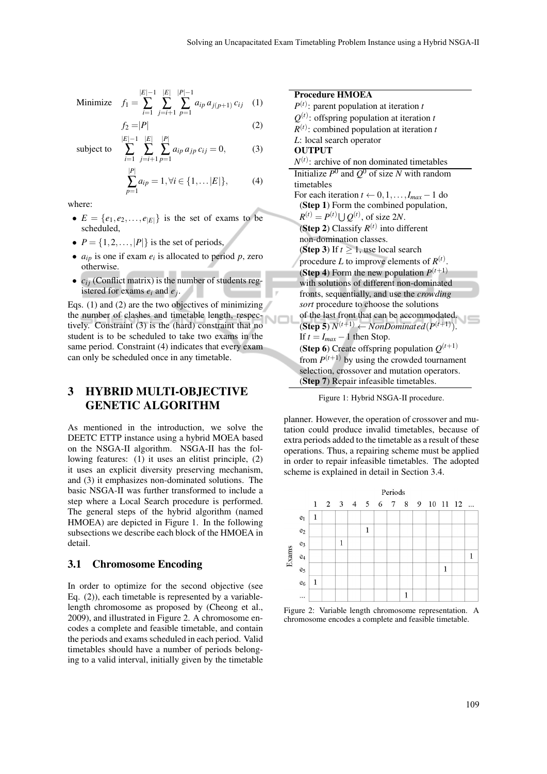Minimize 
$$
f_1 = \sum_{i=1}^{|E|-1} \sum_{j=i+1}^{|E|} \sum_{p=1}^{|P|-1} a_{ip} a_{j(p+1)} c_{ij}
$$
 (1)

 $f_2 = |P|$  (2)

subject to 
$$
\sum_{i=1}^{|E|-1} \sum_{j=i+1}^{|E|} \sum_{p=1}^{|P|} a_{ip} a_{jp} c_{ij} = 0,
$$
 (3)

$$
\sum_{p=1}^{|P|} a_{ip} = 1, \forall i \in \{1, \dots |E|\},
$$
 (4)

where:

- $E = \{e_1, e_2, \ldots, e_{|E|}\}\$ is the set of exams to be scheduled,
- $P = \{1, 2, ..., |P|\}$  is the set of periods,
- $a_{ip}$  is one if exam  $e_i$  is allocated to period p, zero otherwise.
- $c_{ii}$  (Conflict matrix) is the number of students registered for exams *e<sup>i</sup>* and *e <sup>j</sup>* .

Eqs. (1) and (2) are the two objectives of minimizing the number of clashes and timetable length, respectively. Constraint (3) is the (hard) constraint that no student is to be scheduled to take two exams in the same period. Constraint (4) indicates that every exam can only be scheduled once in any timetable.

## 3 HYBRID MULTI-OBJECTIVE GENETIC ALGORITHM

As mentioned in the introduction, we solve the DEETC ETTP instance using a hybrid MOEA based on the NSGA-II algorithm. NSGA-II has the following features: (1) it uses an elitist principle, (2) it uses an explicit diversity preserving mechanism, and (3) it emphasizes non-dominated solutions. The basic NSGA-II was further transformed to include a step where a Local Search procedure is performed. The general steps of the hybrid algorithm (named HMOEA) are depicted in Figure 1. In the following subsections we describe each block of the HMOEA in detail.

#### 3.1 Chromosome Encoding

In order to optimize for the second objective (see Eq. (2)), each timetable is represented by a variablelength chromosome as proposed by (Cheong et al., 2009), and illustrated in Figure 2. A chromosome encodes a complete and feasible timetable, and contain the periods and exams scheduled in each period. Valid timetables should have a number of periods belonging to a valid interval, initially given by the timetable

### Procedure HMOEA  $P^{(t)}$ : parent population at iteration *t*  $Q^{(t)}$ : offspring population at iteration *t*  $R^{(t)}$ : combined population at iteration *t L*: local search operator **OUTPUT**  $N^{(t)}$ : archive of non dominated timetables Initialize  $P^0$  and  $Q^0$  of size *N* with random timetables For each iteration  $t \leftarrow 0, 1, \ldots, I_{max} - 1$  do (Step 1) Form the combined population,  $R^{(t)} = P^{(t)} \cup Q^{(t)}$ , of size 2*N*. (Step 2) Classify  $R^{(t)}$  into different non-domination classes. (**Step 3**) If  $t > 1$ , use local search procedure *L* to improve elements of  $R^{(t)}$ . (**Step 4**) Form the new population  $P^{(t+1)}$ with solutions of different non-dominated fronts, sequentially, and use the *crowding sort* procedure to choose the solutions of the last front that can be accommodated.  $(Step 5) N<sup>(t+1)</sup> \leftarrow NonDominated(P<sup>(t+1)</sup>).$ If  $t = I_{max} - 1$  then Stop. (Step 6) Create offspring population  $Q^{(t+1)}$ from  $P^{(t+1)}$  by using the crowded tournament selection, crossover and mutation operators. (Step 7) Repair infeasible timetables.

Figure 1: Hybrid NSGA-II procedure.

planner. However, the operation of crossover and mutation could produce invalid timetables, because of extra periods added to the timetable as a result of these operations. Thus, a repairing scheme must be applied in order to repair infeasible timetables. The adopted scheme is explained in detail in Section 3.4.



Figure 2: Variable length chromosome representation. A chromosome encodes a complete and feasible timetable.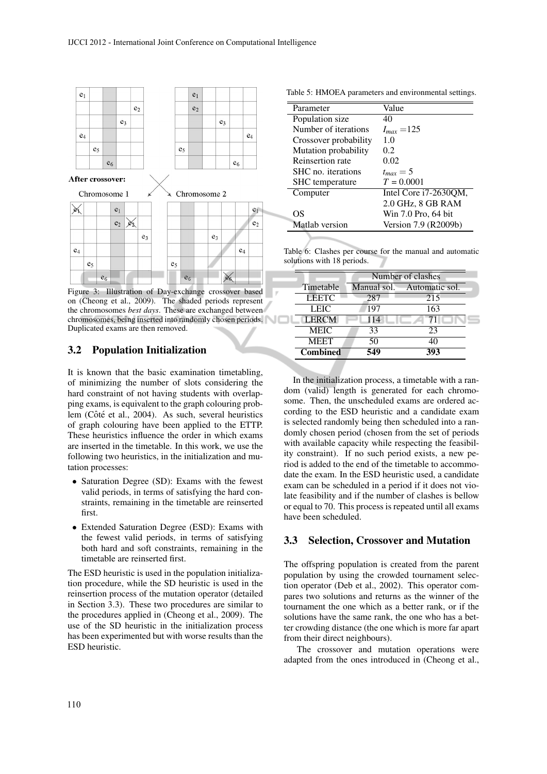

Figure 3: Illustration of Day-exchange crossover based on (Cheong et al., 2009). The shaded periods represent the chromosomes *best days*. These are exchanged between chromosomes, being inserted into randomly chosen periods. Duplicated exams are then removed.

 $e<sub>6</sub>$ 

 $\mathbb{X}$ 

### 3.2 Population Initialization

 $e<sub>6</sub>$ 

It is known that the basic examination timetabling, of minimizing the number of slots considering the hard constraint of not having students with overlapping exams, is equivalent to the graph colouring problem (Côté et al., 2004). As such, several heuristics of graph colouring have been applied to the ETTP. These heuristics influence the order in which exams are inserted in the timetable. In this work, we use the following two heuristics, in the initialization and mutation processes:

- Saturation Degree (SD): Exams with the fewest valid periods, in terms of satisfying the hard constraints, remaining in the timetable are reinserted first.
- Extended Saturation Degree (ESD): Exams with the fewest valid periods, in terms of satisfying both hard and soft constraints, remaining in the timetable are reinserted first.

The ESD heuristic is used in the population initialization procedure, while the SD heuristic is used in the reinsertion process of the mutation operator (detailed in Section 3.3). These two procedures are similar to the procedures applied in (Cheong et al., 2009). The use of the SD heuristic in the initialization process has been experimented but with worse results than the ESD heuristic.

Table 5: HMOEA parameters and environmental settings.

| Parameter              | Value                 |
|------------------------|-----------------------|
| Population size        | 40                    |
| Number of iterations   | $I_{max} = 125$       |
| Crossover probability  | 1.0                   |
| Mutation probability   | 0.2                   |
| Reinsertion rate       | 0.02                  |
| SHC no. iterations     | $t_{max}=5$           |
| <b>SHC</b> temperature | $T = 0.0001$          |
| Computer               | Intel Core i7-2630QM, |
|                        | 2.0 GHz, 8 GB RAM     |
| OS                     | Win 7.0 Pro, 64 bit   |
| Matlab version         | Version 7.9 (R2009b)  |

Table 6: Clashes per course for the manual and automatic solutions with 18 periods.

| Number of clashes |                |  |  |  |  |  |  |  |  |  |
|-------------------|----------------|--|--|--|--|--|--|--|--|--|
| Manual sol.       | Automatic sol. |  |  |  |  |  |  |  |  |  |
| 287               | 215            |  |  |  |  |  |  |  |  |  |
| 197               | 163            |  |  |  |  |  |  |  |  |  |
| 114               |                |  |  |  |  |  |  |  |  |  |
| 33                | 23             |  |  |  |  |  |  |  |  |  |
| 50                | 40             |  |  |  |  |  |  |  |  |  |
| 549               | 393            |  |  |  |  |  |  |  |  |  |
|                   |                |  |  |  |  |  |  |  |  |  |

In the initialization process, a timetable with a random (valid) length is generated for each chromosome. Then, the unscheduled exams are ordered according to the ESD heuristic and a candidate exam is selected randomly being then scheduled into a randomly chosen period (chosen from the set of periods with available capacity while respecting the feasibility constraint). If no such period exists, a new period is added to the end of the timetable to accommodate the exam. In the ESD heuristic used, a candidate exam can be scheduled in a period if it does not violate feasibility and if the number of clashes is bellow or equal to 70. This process is repeated until all exams have been scheduled.

#### 3.3 Selection, Crossover and Mutation

The offspring population is created from the parent population by using the crowded tournament selection operator (Deb et al., 2002). This operator compares two solutions and returns as the winner of the tournament the one which as a better rank, or if the solutions have the same rank, the one who has a better crowding distance (the one which is more far apart from their direct neighbours).

The crossover and mutation operations were adapted from the ones introduced in (Cheong et al.,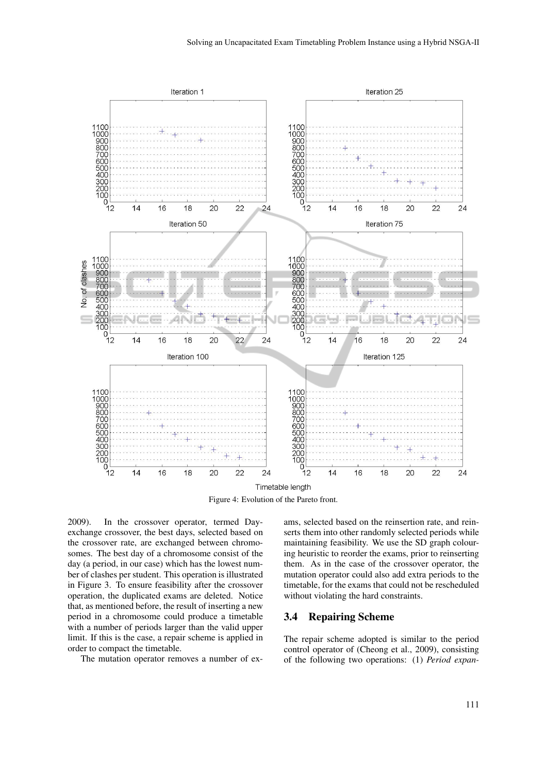

Figure 4: Evolution of the Pareto front.

2009). In the crossover operator, termed Dayexchange crossover, the best days, selected based on the crossover rate, are exchanged between chromosomes. The best day of a chromosome consist of the day (a period, in our case) which has the lowest number of clashes per student. This operation is illustrated in Figure 3. To ensure feasibility after the crossover operation, the duplicated exams are deleted. Notice that, as mentioned before, the result of inserting a new period in a chromosome could produce a timetable with a number of periods larger than the valid upper limit. If this is the case, a repair scheme is applied in order to compact the timetable.

The mutation operator removes a number of ex-

ams, selected based on the reinsertion rate, and reinserts them into other randomly selected periods while maintaining feasibility. We use the SD graph colouring heuristic to reorder the exams, prior to reinserting them. As in the case of the crossover operator, the mutation operator could also add extra periods to the timetable, for the exams that could not be rescheduled without violating the hard constraints.

### 3.4 Repairing Scheme

The repair scheme adopted is similar to the period control operator of (Cheong et al., 2009), consisting of the following two operations: (1) *Period expan-*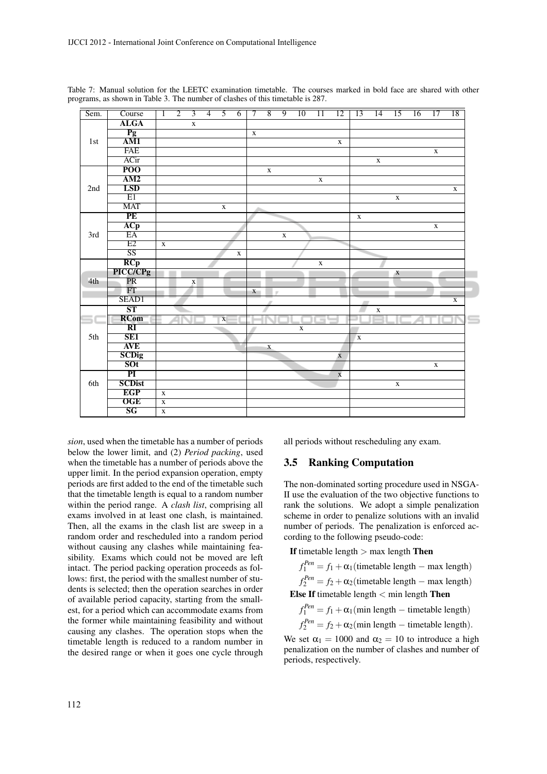| Sem. | Course                      | T                       | $\overline{2}$ | $\overline{3}$ | $\overline{4}$ | $\overline{5}$ | $\overline{6}$ | $\overline{\tau}$ | $\overline{8}$ | $\overline{9}$ | $\overline{10}$ | $\overline{11}$ | $\overline{12}$ | $\overline{13}$ | $\overline{14}$ | $\overline{15}$ | $\overline{16}$ | $\overline{17}$ | $\overline{18}$ |
|------|-----------------------------|-------------------------|----------------|----------------|----------------|----------------|----------------|-------------------|----------------|----------------|-----------------|-----------------|-----------------|-----------------|-----------------|-----------------|-----------------|-----------------|-----------------|
|      | <b>ALGA</b>                 |                         |                | $\mathbf X$    |                |                |                |                   |                |                |                 |                 |                 |                 |                 |                 |                 |                 |                 |
|      | $\frac{Pg}{AM1}$            |                         |                |                |                |                |                | $\mathbf X$       |                |                |                 |                 |                 |                 |                 |                 |                 |                 |                 |
| 1st  |                             |                         |                |                |                |                |                |                   |                |                |                 |                 | $\mathbf X$     |                 |                 |                 |                 |                 |                 |
|      | <b>FAE</b>                  |                         |                |                |                |                |                |                   |                |                |                 |                 |                 |                 |                 |                 |                 | $\mathbf X$     |                 |
|      | ACir                        |                         |                |                |                |                |                |                   |                |                |                 |                 |                 |                 | $\mathbf X$     |                 |                 |                 |                 |
|      | $\overline{POO}$            |                         |                |                |                |                |                |                   | $\mathbf X$    |                |                 |                 |                 |                 |                 |                 |                 |                 |                 |
|      | AM2                         |                         |                |                |                |                |                |                   |                |                |                 | $\mathbf X$     |                 |                 |                 |                 |                 |                 |                 |
| 2nd  | <b>LSD</b>                  |                         |                |                |                |                |                |                   |                |                |                 |                 |                 |                 |                 |                 |                 |                 | $\mathbf X$     |
|      | E1                          |                         |                |                |                |                |                |                   |                |                |                 |                 |                 |                 |                 | $\mathbf X$     |                 |                 |                 |
|      | <b>MAT</b>                  |                         |                |                |                | $\mathbf X$    |                |                   |                |                |                 |                 |                 |                 |                 |                 |                 |                 |                 |
|      | PE                          |                         |                |                |                |                |                |                   |                |                |                 |                 |                 | $\mathbf X$     |                 |                 |                 |                 |                 |
|      | ACp                         |                         |                |                |                |                |                |                   |                |                |                 |                 |                 |                 |                 |                 |                 | $\mathbf X$     |                 |
| 3rd  | $E\overline{A}$             |                         |                |                |                |                |                |                   |                | $\mathbf X$    |                 |                 |                 |                 |                 |                 |                 |                 |                 |
|      | E2                          | $\overline{\mathbf{X}}$ |                |                |                |                |                |                   |                |                |                 |                 |                 |                 |                 |                 |                 |                 |                 |
|      | $\overline{\text{SS}}$      |                         |                |                |                |                | $\mathbf X$    |                   |                |                |                 |                 |                 |                 |                 |                 |                 |                 |                 |
|      | $rac{RCp}{\text{PICC/CPg}}$ |                         |                |                |                |                |                |                   |                |                |                 | $\mathbf X$     |                 |                 |                 |                 |                 |                 |                 |
|      |                             |                         |                |                |                |                |                |                   |                |                |                 |                 |                 |                 |                 | X               |                 |                 |                 |
| 4th  | $\overline{\text{PR}}$      |                         |                | $\mathbf X$    |                |                |                |                   |                |                |                 |                 |                 |                 |                 |                 |                 |                 |                 |
|      | $\overline{\text{FT}}$      |                         |                |                |                |                |                | $\mathbf{X}$      |                |                |                 |                 |                 |                 |                 |                 |                 |                 |                 |
|      | SEAD1                       |                         |                |                |                |                |                |                   |                |                |                 |                 |                 |                 |                 |                 |                 |                 | $\mathbf X$     |
|      | $\overline{\text{ST}}$      |                         |                |                |                |                |                |                   |                |                |                 |                 |                 |                 | $\mathbf X$     |                 |                 |                 |                 |
|      | <b>RCom</b>                 |                         |                |                |                | $\mathbf X$    |                |                   |                |                |                 | $\equiv$        |                 |                 |                 |                 |                 |                 |                 |
|      | $\overline{\text{RI}}$      |                         |                |                |                |                |                |                   |                |                | $\mathbf X$     |                 |                 |                 |                 |                 |                 |                 |                 |
| 5th  | SE <sub>1</sub>             |                         |                |                |                |                |                |                   |                |                |                 |                 |                 | $\mathbf x$     |                 |                 |                 |                 |                 |
|      | <b>AVE</b>                  |                         |                |                |                |                |                |                   | $\mathbf X$    |                |                 |                 |                 |                 |                 |                 |                 |                 |                 |
|      | <b>SCDig</b>                |                         |                |                |                |                |                |                   |                |                |                 |                 | $\mathbf X$     |                 |                 |                 |                 |                 |                 |
|      | SOT                         |                         |                |                |                |                |                |                   |                |                |                 |                 |                 |                 |                 |                 |                 | $\mathbf X$     |                 |
|      | $\overline{PI}$             |                         |                |                |                |                |                |                   |                |                |                 |                 | $\mathbf X$     |                 |                 |                 |                 |                 |                 |
| 6th  | <b>SCDist</b>               |                         |                |                |                |                |                |                   |                |                |                 |                 |                 |                 |                 | $\mathbf X$     |                 |                 |                 |
|      | <b>EGP</b>                  | $\mathbf X$             |                |                |                |                |                |                   |                |                |                 |                 |                 |                 |                 |                 |                 |                 |                 |
|      | <b>OGE</b>                  | $\mathbf X$             |                |                |                |                |                |                   |                |                |                 |                 |                 |                 |                 |                 |                 |                 |                 |
|      | SG                          | $\overline{\mathbf{x}}$ |                |                |                |                |                |                   |                |                |                 |                 |                 |                 |                 |                 |                 |                 |                 |

Table 7: Manual solution for the LEETC examination timetable. The courses marked in bold face are shared with other programs, as shown in Table 3. The number of clashes of this timetable is 287.

*sion*, used when the timetable has a number of periods below the lower limit, and (2) *Period packing*, used when the timetable has a number of periods above the upper limit. In the period expansion operation, empty periods are first added to the end of the timetable such that the timetable length is equal to a random number within the period range. A *clash list*, comprising all exams involved in at least one clash, is maintained. Then, all the exams in the clash list are sweep in a random order and rescheduled into a random period without causing any clashes while maintaining feasibility. Exams which could not be moved are left intact. The period packing operation proceeds as follows: first, the period with the smallest number of students is selected; then the operation searches in order of available period capacity, starting from the smallest, for a period which can accommodate exams from the former while maintaining feasibility and without causing any clashes. The operation stops when the timetable length is reduced to a random number in the desired range or when it goes one cycle through all periods without rescheduling any exam.

#### 3.5 Ranking Computation

The non-dominated sorting procedure used in NSGA-II use the evaluation of the two objective functions to rank the solutions. We adopt a simple penalization scheme in order to penalize solutions with an invalid number of periods. The penalization is enforced according to the following pseudo-code:

If timetable length  $>$  max length Then

 $f_1^{Pen} = f_1 + \alpha_1$ (timetable length – max length)  $f_2^{Pen} = f_2 + \alpha_2$ (timetable length – max length)

Else If timetable length  $\lt$  min length Then

 $f_1^{Pen} = f_1 + \alpha_1$ (min length – timetable length)

 $f_2^{Pen} = f_2 + \alpha_2$ (min length – timetable length).

We set  $\alpha_1 = 1000$  and  $\alpha_2 = 10$  to introduce a high penalization on the number of clashes and number of periods, respectively.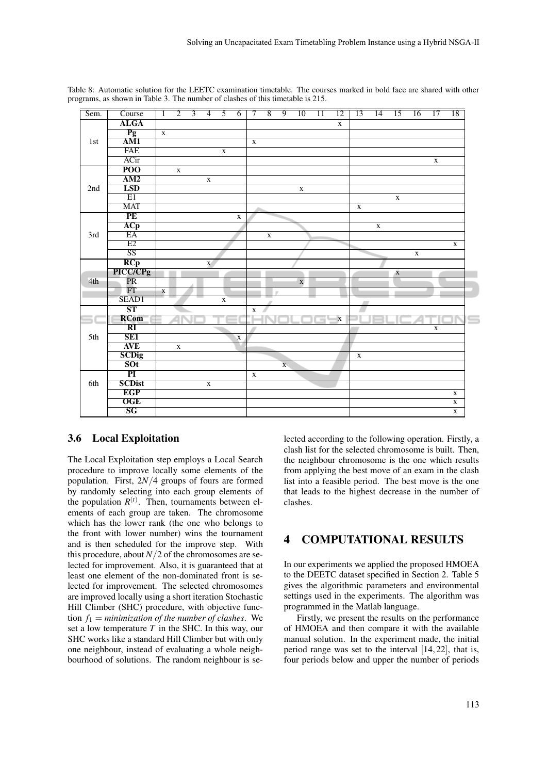| Sem. | Course                      | $\overline{1}$ | $\overline{2}$          | $\overline{3}$ | $\overline{4}$ | $\overline{5}$ | $\overline{6}$ | $\overline{\tau}$ | $\overline{8}$          | $\overline{9}$          | 10          | $\overline{11}$          | $\overline{12}$ | $\overline{13}$ | $\overline{14}$ | $\overline{15}$ | 16          | $\overline{17}$ | $\overline{18}$ |
|------|-----------------------------|----------------|-------------------------|----------------|----------------|----------------|----------------|-------------------|-------------------------|-------------------------|-------------|--------------------------|-----------------|-----------------|-----------------|-----------------|-------------|-----------------|-----------------|
|      | <b>ALGA</b>                 |                |                         |                |                |                |                |                   |                         |                         |             |                          | $\mathbf X$     |                 |                 |                 |             |                 |                 |
|      | $\overline{Pg}$             | $\mathbf X$    |                         |                |                |                |                |                   |                         |                         |             |                          |                 |                 |                 |                 |             |                 |                 |
| 1st  | $\overline{AM1}$            |                |                         |                |                |                |                | $\mathbf X$       |                         |                         |             |                          |                 |                 |                 |                 |             |                 |                 |
|      | <b>FAE</b>                  |                |                         |                |                | $\mathbf X$    |                |                   |                         |                         |             |                          |                 |                 |                 |                 |             |                 |                 |
|      | ACir                        |                |                         |                |                |                |                |                   |                         |                         |             |                          |                 |                 |                 |                 |             | $\mathbf X$     |                 |
|      | $\overline{POO}$            |                | $\mathbf X$             |                |                |                |                |                   |                         |                         |             |                          |                 |                 |                 |                 |             |                 |                 |
|      | AM2                         |                |                         |                | $\mathbf X$    |                |                |                   |                         |                         |             |                          |                 |                 |                 |                 |             |                 |                 |
| 2nd  | <b>LSD</b>                  |                |                         |                |                |                |                |                   |                         |                         | $\mathbf X$ |                          |                 |                 |                 |                 |             |                 |                 |
|      | E1                          |                |                         |                |                |                |                |                   |                         |                         |             |                          |                 |                 |                 | $\mathbf X$     |             |                 |                 |
|      | <b>MAT</b>                  |                |                         |                |                |                |                |                   |                         |                         |             |                          |                 | $\mathbf X$     |                 |                 |             |                 |                 |
|      | PE                          |                |                         |                |                |                | $\mathbf X$    |                   |                         |                         |             |                          |                 |                 |                 |                 |             |                 |                 |
|      | ACp                         |                |                         |                |                |                |                |                   |                         |                         |             |                          |                 |                 | $\mathbf X$     |                 |             |                 |                 |
| 3rd  | $E\overline{A}$             |                |                         |                |                |                |                |                   | $\overline{\mathbf{x}}$ |                         |             |                          |                 |                 |                 |                 |             |                 |                 |
|      | E2                          |                |                         |                |                |                |                |                   |                         |                         |             |                          |                 |                 |                 |                 |             |                 | $\mathbf X$     |
|      | $\overline{\text{SS}}$      |                |                         |                |                |                |                |                   |                         |                         |             |                          |                 |                 |                 |                 | $\mathbf X$ |                 |                 |
|      | $rac{RCp}{\text{PICC/CPg}}$ |                |                         |                | $\mathbf X$    |                |                |                   |                         |                         |             |                          |                 |                 |                 |                 |             |                 |                 |
|      |                             |                |                         |                |                |                |                |                   |                         |                         |             |                          |                 |                 |                 | X               |             |                 |                 |
| 4th  | $\overline{\text{PR}}$      |                |                         |                |                |                |                |                   |                         |                         | $\mathbf X$ |                          |                 |                 |                 |                 |             |                 |                 |
|      | $\overline{\text{FT}}$      | $\mathbf X$    |                         |                |                |                |                |                   |                         | $\sim$                  |             |                          |                 |                 |                 |                 |             |                 |                 |
|      | SEAD1                       |                |                         |                |                | $\mathbf{x}$   |                |                   |                         |                         |             |                          |                 |                 |                 |                 |             |                 |                 |
|      | $\overline{\text{ST}}$      |                |                         |                |                |                |                | $\mathbf X$       |                         |                         |             |                          |                 |                 |                 |                 |             |                 |                 |
|      | <b>RCom</b>                 |                |                         |                |                |                |                |                   |                         |                         |             | $\overline{\phantom{a}}$ | $\mathbf X$     |                 |                 |                 |             |                 |                 |
|      | $\overline{\text{RI}}$      |                |                         |                |                |                |                |                   |                         |                         |             |                          |                 |                 |                 |                 |             | $\mathbf X$     |                 |
| 5th  | SE <sub>1</sub>             |                |                         |                |                |                | $\mathbf X$    |                   |                         |                         |             |                          |                 |                 |                 |                 |             |                 |                 |
|      | <b>AVE</b>                  |                | $\overline{\mathbf{x}}$ |                |                |                |                |                   |                         |                         |             |                          |                 |                 |                 |                 |             |                 |                 |
|      | <b>SCDig</b>                |                |                         |                |                |                |                |                   |                         |                         |             |                          |                 | $\mathbf X$     |                 |                 |             |                 |                 |
|      | SOT                         |                |                         |                |                |                |                |                   |                         | $\overline{\mathbf{X}}$ |             |                          |                 |                 |                 |                 |             |                 |                 |
|      | $\overline{PI}$             |                |                         |                |                |                |                | $\mathbf X$       |                         |                         |             |                          |                 |                 |                 |                 |             |                 |                 |
| 6th  | <b>SCDist</b>               |                |                         |                | $\mathbf x$    |                |                |                   |                         |                         |             |                          |                 |                 |                 |                 |             |                 |                 |
|      |                             |                |                         |                |                |                |                |                   |                         |                         |             |                          |                 |                 |                 |                 |             |                 | $\mathbf X$     |
|      | <b>EGP</b>                  |                |                         |                |                |                |                |                   |                         |                         |             |                          |                 |                 |                 |                 |             |                 |                 |
|      | <b>OGE</b><br>SG            |                |                         |                |                |                |                |                   |                         |                         |             |                          |                 |                 |                 |                 |             |                 | $\mathbf X$     |

Table 8: Automatic solution for the LEETC examination timetable. The courses marked in bold face are shared with other programs, as shown in Table 3. The number of clashes of this timetable is 215.

#### 3.6 Local Exploitation

The Local Exploitation step employs a Local Search procedure to improve locally some elements of the population. First, 2*N*/4 groups of fours are formed by randomly selecting into each group elements of the population  $R<sup>(t)</sup>$ . Then, tournaments between elements of each group are taken. The chromosome which has the lower rank (the one who belongs to the front with lower number) wins the tournament and is then scheduled for the improve step. With this procedure, about  $N/2$  of the chromosomes are selected for improvement. Also, it is guaranteed that at least one element of the non-dominated front is selected for improvement. The selected chromosomes are improved locally using a short iteration Stochastic Hill Climber (SHC) procedure, with objective function  $f_1$  = *minimization of the number of clashes*. We set a low temperature  $T$  in the SHC. In this way, our SHC works like a standard Hill Climber but with only one neighbour, instead of evaluating a whole neighbourhood of solutions. The random neighbour is selected according to the following operation. Firstly, a clash list for the selected chromosome is built. Then, the neighbour chromosome is the one which results from applying the best move of an exam in the clash list into a feasible period. The best move is the one that leads to the highest decrease in the number of clashes.

## 4 COMPUTATIONAL RESULTS

In our experiments we applied the proposed HMOEA to the DEETC dataset specified in Section 2. Table 5 gives the algorithmic parameters and environmental settings used in the experiments. The algorithm was programmed in the Matlab language.

Firstly, we present the results on the performance of HMOEA and then compare it with the available manual solution. In the experiment made, the initial period range was set to the interval [14,22], that is, four periods below and upper the number of periods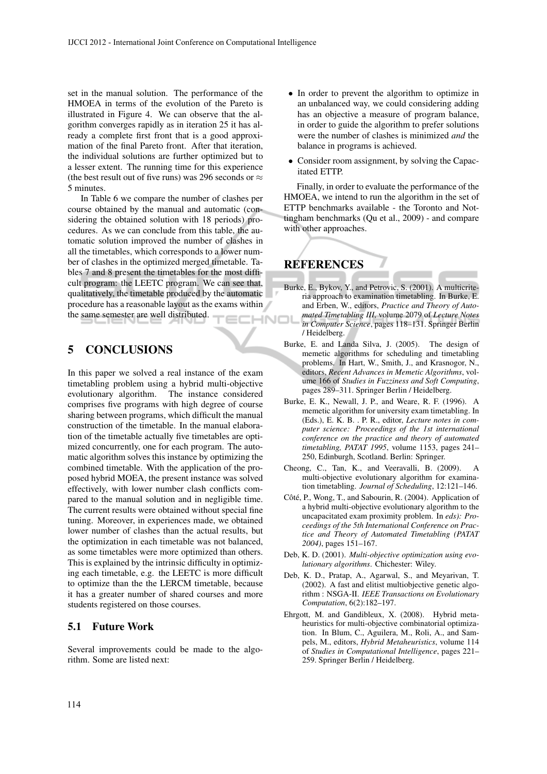set in the manual solution. The performance of the HMOEA in terms of the evolution of the Pareto is illustrated in Figure 4. We can observe that the algorithm converges rapidly as in iteration 25 it has already a complete first front that is a good approximation of the final Pareto front. After that iteration, the individual solutions are further optimized but to a lesser extent. The running time for this experience (the best result out of five runs) was 296 seconds or  $\approx$ 5 minutes.

In Table 6 we compare the number of clashes per course obtained by the manual and automatic (considering the obtained solution with 18 periods) procedures. As we can conclude from this table, the automatic solution improved the number of clashes in all the timetables, which corresponds to a lower number of clashes in the optimized merged timetable. Tables 7 and 8 present the timetables for the most difficult program: the LEETC program. We can see that, qualitatively, the timetable produced by the automatic procedure has a reasonable layout as the exams within the same semester are well distributed.

## 5 CONCLUSIONS

In this paper we solved a real instance of the exam timetabling problem using a hybrid multi-objective evolutionary algorithm. The instance considered comprises five programs with high degree of course sharing between programs, which difficult the manual construction of the timetable. In the manual elaboration of the timetable actually five timetables are optimized concurrently, one for each program. The automatic algorithm solves this instance by optimizing the combined timetable. With the application of the proposed hybrid MOEA, the present instance was solved effectively, with lower number clash conflicts compared to the manual solution and in negligible time. The current results were obtained without special fine tuning. Moreover, in experiences made, we obtained lower number of clashes than the actual results, but the optimization in each timetable was not balanced, as some timetables were more optimized than others. This is explained by the intrinsic difficulty in optimizing each timetable, e.g. the LEETC is more difficult to optimize than the the LERCM timetable, because it has a greater number of shared courses and more students registered on those courses.

#### 5.1 Future Work

Several improvements could be made to the algorithm. Some are listed next:

- In order to prevent the algorithm to optimize in an unbalanced way, we could considering adding has an objective a measure of program balance, in order to guide the algorithm to prefer solutions were the number of clashes is minimized *and* the balance in programs is achieved.
- Consider room assignment, by solving the Capacitated ETTP.

Finally, in order to evaluate the performance of the HMOEA, we intend to run the algorithm in the set of ETTP benchmarks available - the Toronto and Nottingham benchmarks (Qu et al., 2009) - and compare with other approaches.

## REFERENCES

- Burke, E., Bykov, Y., and Petrovic, S. (2001). A multicriteria approach to examination timetabling. In Burke, E. and Erben, W., editors, *Practice and Theory of Automated Timetabling III*, volume 2079 of *Lecture Notes* HNOI *in Computer Science*, pages 118–131. Springer Berlin / Heidelberg.
	- Burke, E. and Landa Silva, J. (2005). The design of memetic algorithms for scheduling and timetabling problems. In Hart, W., Smith, J., and Krasnogor, N., editors, *Recent Advances in Memetic Algorithms*, volume 166 of *Studies in Fuzziness and Soft Computing*, pages 289–311. Springer Berlin / Heidelberg.
	- Burke, E. K., Newall, J. P., and Weare, R. F. (1996). A memetic algorithm for university exam timetabling. In (Eds.), E. K. B. . P. R., editor, *Lecture notes in computer science: Proceedings of the 1st international conference on the practice and theory of automated timetabling, PATAT 1995*, volume 1153, pages 241– 250, Edinburgh, Scotland. Berlin: Springer.
	- Cheong, C., Tan, K., and Veeravalli, B. (2009). A multi-objective evolutionary algorithm for examination timetabling. *Journal of Scheduling*, 12:121–146.
	- Côté, P., Wong, T., and Sabourin, R. (2004). Application of a hybrid multi-objective evolutionary algorithm to the uncapacitated exam proximity problem. In *eds): Proceedings of the 5th International Conference on Practice and Theory of Automated Timetabling (PATAT 2004)*, pages 151–167.
	- Deb, K. D. (2001). *Multi-objective optimization using evolutionary algorithms*. Chichester: Wiley.
	- Deb, K. D., Pratap, A., Agarwal, S., and Meyarivan, T. (2002). A fast and elitist multiobjective genetic algorithm : NSGA-II. *IEEE Transactions on Evolutionary Computation*, 6(2):182–197.
	- Ehrgott, M. and Gandibleux, X. (2008). Hybrid metaheuristics for multi-objective combinatorial optimization. In Blum, C., Aguilera, M., Roli, A., and Sampels, M., editors, *Hybrid Metaheuristics*, volume 114 of *Studies in Computational Intelligence*, pages 221– 259. Springer Berlin / Heidelberg.